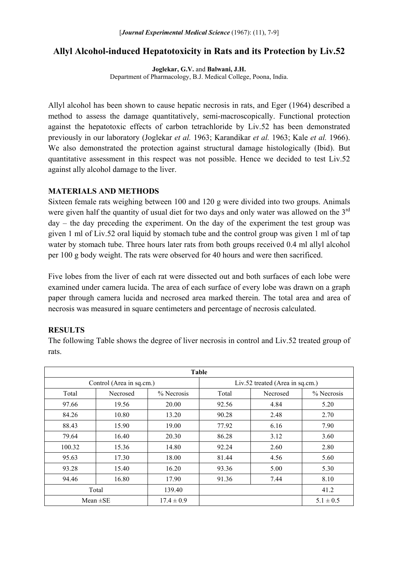# **Allyl Alcohol-induced Hepatotoxicity in Rats and its Protection by Liv.52**

**Joglekar, G.V.** and **Balwani, J.H.**  Department of Pharmacology, B.J. Medical College, Poona, India.

Allyl alcohol has been shown to cause hepatic necrosis in rats, and Eger (1964) described a method to assess the damage quantitatively, semi-macroscopically. Functional protection against the hepatotoxic effects of carbon tetrachloride by Liv.52 has been demonstrated previously in our laboratory (Joglekar *et al.* 1963; Karandikar *et al.* 1963; Kale *et al.* 1966). We also demonstrated the protection against structural damage histologically (Ibid). But quantitative assessment in this respect was not possible. Hence we decided to test Liv.52 against ally alcohol damage to the liver.

# **MATERIALS AND METHODS**

Sixteen female rats weighing between 100 and 120 g were divided into two groups. Animals were given half the quantity of usual diet for two days and only water was allowed on the 3<sup>rd</sup> day – the day preceding the experiment. On the day of the experiment the test group was given 1 ml of Liv.52 oral liquid by stomach tube and the control group was given 1 ml of tap water by stomach tube. Three hours later rats from both groups received 0.4 ml allyl alcohol per 100 g body weight. The rats were observed for 40 hours and were then sacrificed.

Five lobes from the liver of each rat were dissected out and both surfaces of each lobe were examined under camera lucida. The area of each surface of every lobe was drawn on a graph paper through camera lucida and necrosed area marked therein. The total area and area of necrosis was measured in square centimeters and percentage of necrosis calculated.

# **RESULTS**

The following Table shows the degree of liver necrosis in control and Liv.52 treated group of rats.

| Table                    |          |                |                                 |          |               |
|--------------------------|----------|----------------|---------------------------------|----------|---------------|
| Control (Area in sq.cm.) |          |                | Liv.52 treated (Area in sq.cm.) |          |               |
| Total                    | Necrosed | % Necrosis     | Total                           | Necrosed | % Necrosis    |
| 97.66                    | 19.56    | 20.00          | 92.56                           | 4.84     | 5.20          |
| 84.26                    | 10.80    | 13.20          | 90.28                           | 2.48     | 2.70          |
| 88.43                    | 15.90    | 19.00          | 77.92                           | 6.16     | 7.90          |
| 79.64                    | 16.40    | 20.30          | 86.28                           | 3.12     | 3.60          |
| 100.32                   | 15.36    | 14.80          | 92.24                           | 2.60     | 2.80          |
| 95.63                    | 17.30    | 18.00          | 81.44                           | 4.56     | 5.60          |
| 93.28                    | 15.40    | 16.20          | 93.36                           | 5.00     | 5.30          |
| 94.46                    | 16.80    | 17.90          | 91.36                           | 7.44     | 8.10          |
| Total                    |          | 139.40         |                                 |          | 41.2          |
| Mean $\pm$ SE            |          | $17.4 \pm 0.9$ |                                 |          | $5.1 \pm 0.5$ |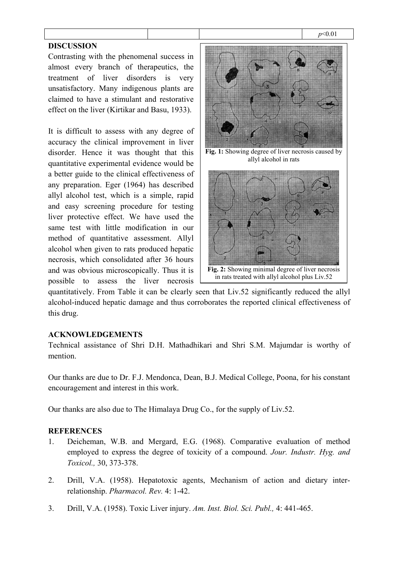#### *p*<0.01

# **DISCUSSION**

Contrasting with the phenomenal success in almost every branch of therapeutics, the treatment of liver disorders is very unsatisfactory. Many indigenous plants are claimed to have a stimulant and restorative effect on the liver (Kirtikar and Basu, 1933).

It is difficult to assess with any degree of accuracy the clinical improvement in liver disorder. Hence it was thought that this quantitative experimental evidence would be a better guide to the clinical effectiveness of any preparation. Eger (1964) has described allyl alcohol test, which is a simple, rapid and easy screening procedure for testing liver protective effect. We have used the same test with little modification in our method of quantitative assessment. Allyl alcohol when given to rats produced hepatic necrosis, which consolidated after 36 hours and was obvious microscopically. Thus it is possible to assess the liver necrosis



**Fig. 1:** Showing degree of liver necrosis caused by allyl alcohol in rats



quantitatively. From Table it can be clearly seen that Liv.52 significantly reduced the allyl alcohol-induced hepatic damage and thus corroborates the reported clinical effectiveness of this drug.

# **ACKNOWLEDGEMENTS**

Technical assistance of Shri D.H. Mathadhikari and Shri S.M. Majumdar is worthy of mention.

Our thanks are due to Dr. F.J. Mendonca, Dean, B.J. Medical College, Poona, for his constant encouragement and interest in this work.

Our thanks are also due to The Himalaya Drug Co., for the supply of Liv.52.

# **REFERENCES**

- 1. Deicheman, W.B. and Mergard, E.G. (1968). Comparative evaluation of method employed to express the degree of toxicity of a compound. *Jour. Industr. Hyg. and Toxicol.,* 30, 373-378.
- 2. Drill, V.A. (1958). Hepatotoxic agents, Mechanism of action and dietary interrelationship. *Pharmacol. Rev.* 4: 1-42.
- 3. Drill, V.A. (1958). Toxic Liver injury. *Am. Inst. Biol. Sci. Publ.,* 4: 441-465.